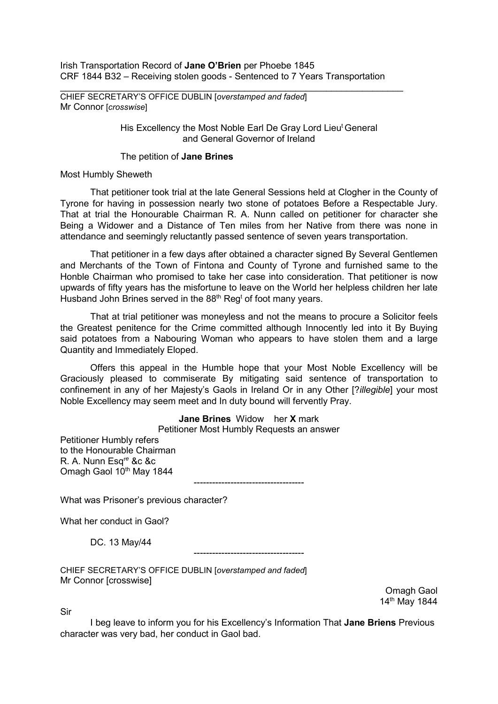Irish Transportation Record of **Jane O'Brien** per Phoebe 1845 CRF 1844 B32 – Receiving stolen goods - Sentenced to 7 Years Transportation

 $\_$  , and the set of the set of the set of the set of the set of the set of the set of the set of the set of the set of the set of the set of the set of the set of the set of the set of the set of the set of the set of th

CHIEF SECRETARY'S OFFICE DUBLIN [*overstamped and faded*] Mr Connor [*crosswise*]

> His Excellency the Most Noble Earl De Gray Lord Lieu<sup>t</sup> General and General Governor of Ireland

## The petition of **Jane Brines**

Most Humbly Sheweth

That petitioner took trial at the late General Sessions held at Clogher in the County of Tyrone for having in possession nearly two stone of potatoes Before a Respectable Jury. That at trial the Honourable Chairman R. A. Nunn called on petitioner for character she Being a Widower and a Distance of Ten miles from her Native from there was none in attendance and seemingly reluctantly passed sentence of seven years transportation.

That petitioner in a few days after obtained a character signed By Several Gentlemen and Merchants of the Town of Fintona and County of Tyrone and furnished same to the Honble Chairman who promised to take her case into consideration. That petitioner is now upwards of fifty years has the misfortune to leave on the World her helpless children her late Husband John Brines served in the 88<sup>th</sup> Reg<sup>t</sup> of foot many years.

That at trial petitioner was moneyless and not the means to procure a Solicitor feels the Greatest penitence for the Crime committed although Innocently led into it By Buying said potatoes from a Nabouring Woman who appears to have stolen them and a large Quantity and Immediately Eloped.

Offers this appeal in the Humble hope that your Most Noble Excellency will be Graciously pleased to commiserate By mitigating said sentence of transportation to confinement in any of her Majesty's Gaols in Ireland Or in any Other [?*illegible*] your most Noble Excellency may seem meet and In duty bound will fervently Pray.

> **Jane Brines** Widow her **X** mark Petitioner Most Humbly Requests an answer

> > ------------------------------------

Petitioner Humbly refers to the Honourable Chairman R. A. Nunn Esqr*<sup>e</sup>* &c &c Omagh Gaol 10th May 1844

What was Prisoner's previous character?

What her conduct in Gaol?

DC. 13 May/44

------------------------------------

CHIEF SECRETARY'S OFFICE DUBLIN [*overstamped and faded*] Mr Connor [crosswise]

Omagh Gaol 14th May 1844

Sir

I beg leave to inform you for his Excellency's Information That **Jane Briens** Previous character was very bad, her conduct in Gaol bad.